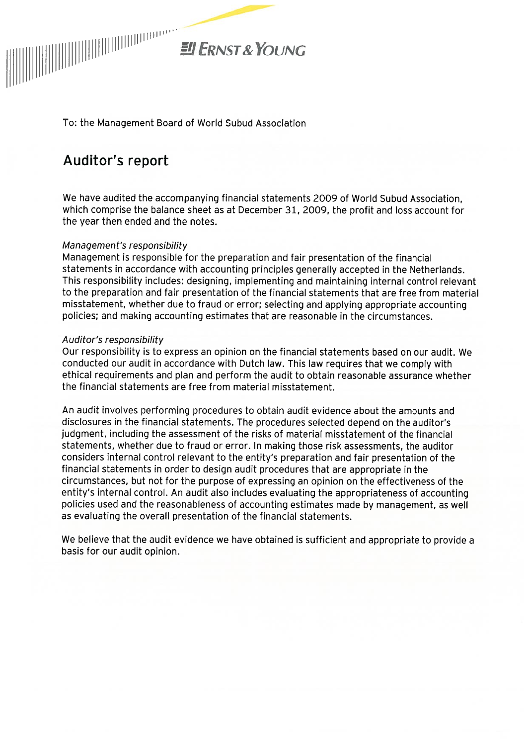

To: the Management Board of World Subud Association

# **Auditor's report**

We have audited the accompanying financial statements 2009 of World Subud Association. which comprise the balance sheet as at December 31, 2009, the profit and loss account for the year then ended and the notes.

## Management's responsibility

Management is responsible for the preparation and fair presentation of the financial statements in accordance with accounting principles generally accepted in the Netherlands. This responsibility includes: designing, implementing and maintaining internal control relevant to the preparation and fair presentation of the financial statements that are free from material misstatement, whether due to fraud or error; selecting and applying appropriate accounting policies; and making accounting estimates that are reasonable in the circumstances.

## Auditor's responsibility

Our responsibility is to express an opinion on the financial statements based on our audit. We conducted our audit in accordance with Dutch law. This law requires that we comply with ethical requirements and plan and perform the audit to obtain reasonable assurance whether the financial statements are free from material misstatement.

An audit involves performing procedures to obtain audit evidence about the amounts and disclosures in the financial statements. The procedures selected depend on the auditor's judgment, including the assessment of the risks of material misstatement of the financial statements, whether due to fraud or error. In making those risk assessments, the auditor considers internal control relevant to the entity's preparation and fair presentation of the financial statements in order to design audit procedures that are appropriate in the circumstances, but not for the purpose of expressing an opinion on the effectiveness of the entity's internal control. An audit also includes evaluating the appropriateness of accounting policies used and the reasonableness of accounting estimates made by management, as well as evaluating the overall presentation of the financial statements.

We believe that the audit evidence we have obtained is sufficient and appropriate to provide a basis for our audit opinion.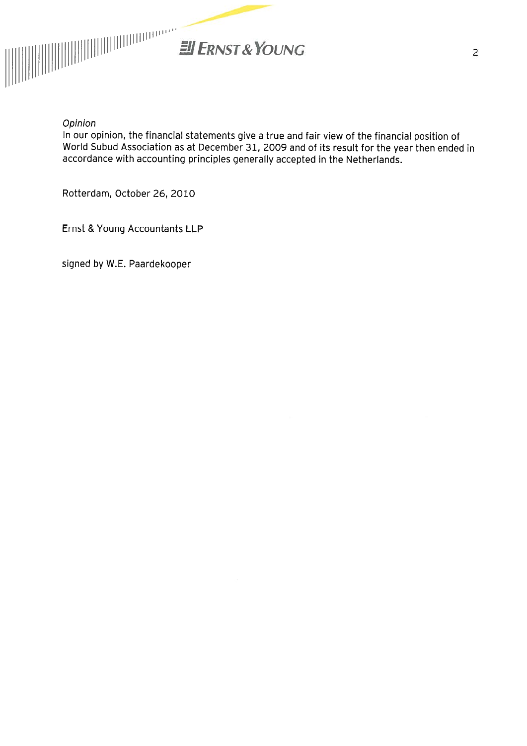

## Opinion

In our opinion, the financial statements give a true and fair view of the financial position of World Subud Association as at December 31, 2009 and of its result for the year then ended in accordance with accounting principles generally accepted in the Netherlands.

Rotterdam, October 26, 2010

Ernst & Young Accountants LLP

signed by W.E. Paardekooper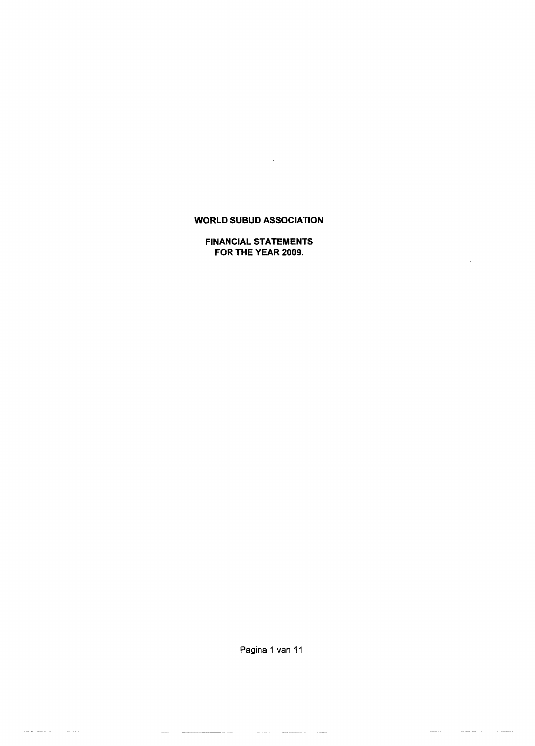$\ddot{\phantom{a}}$ 

**FINANClAL STATEMENTS FOR THE YEAR 2009.** 

Pagina 1 van 11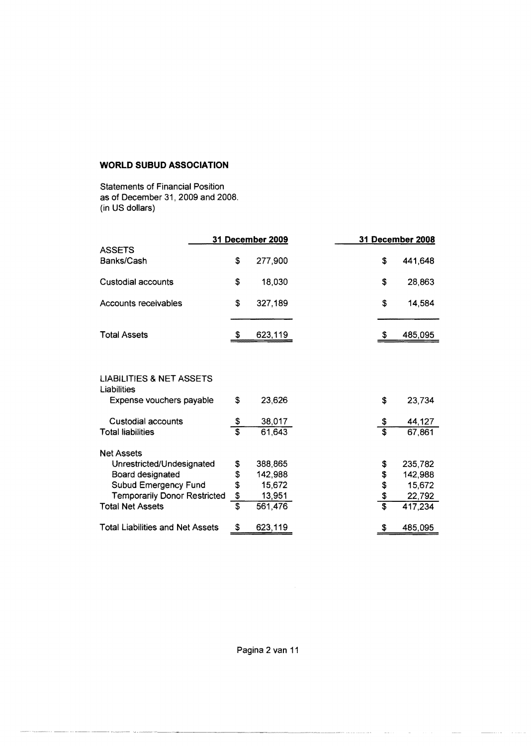Statements of Financial Position as of December 31,2009 and 2008. (in US dollars)

|                                                                                                                                                                     |                         |          | 31 December 2009                                  | 31 December 2008 |  |                               |                                                   |  |  |  |  |
|---------------------------------------------------------------------------------------------------------------------------------------------------------------------|-------------------------|----------|---------------------------------------------------|------------------|--|-------------------------------|---------------------------------------------------|--|--|--|--|
| <b>ASSETS</b><br>Banks/Cash                                                                                                                                         |                         | \$       | 277,900                                           |                  |  | \$                            | 441,648                                           |  |  |  |  |
| <b>Custodial accounts</b>                                                                                                                                           |                         | \$       | 18,030                                            |                  |  | \$                            | 28,863                                            |  |  |  |  |
| Accounts receivables                                                                                                                                                |                         | \$       | 327,189                                           |                  |  | \$                            | 14,584                                            |  |  |  |  |
| <b>Total Assets</b>                                                                                                                                                 | -S                      |          | 623,119                                           |                  |  | S                             | 485,095                                           |  |  |  |  |
| <b>LIABILITIES &amp; NET ASSETS</b><br>Liabilities<br>Expense vouchers payable                                                                                      |                         | \$       | 23,626                                            |                  |  | \$                            | 23,734                                            |  |  |  |  |
| Custodial accounts<br><b>Total liabilities</b>                                                                                                                      | $\overline{\mathbf{s}}$ | \$       | 38,017<br>61,643                                  |                  |  | \$<br>$\overline{\mathbf{s}}$ | 44,127<br>67,861                                  |  |  |  |  |
| <b>Net Assets</b><br>Unrestricted/Undesignated<br>Board designated<br><b>Subud Emergency Fund</b><br><b>Temporarily Donor Restricted</b><br><b>Total Net Assets</b> | \$<br>$\frac{3}{5}$     | \$<br>\$ | 388,865<br>142,988<br>15,672<br>13,951<br>561,476 |                  |  | \$<br>8 \$ \$                 | 235,782<br>142,988<br>15,672<br>22,792<br>417,234 |  |  |  |  |
|                                                                                                                                                                     |                         |          |                                                   |                  |  |                               |                                                   |  |  |  |  |

Pagina 2 van 11

T otal Liabilities and Net Assets \$ 623,119 \$ 485,095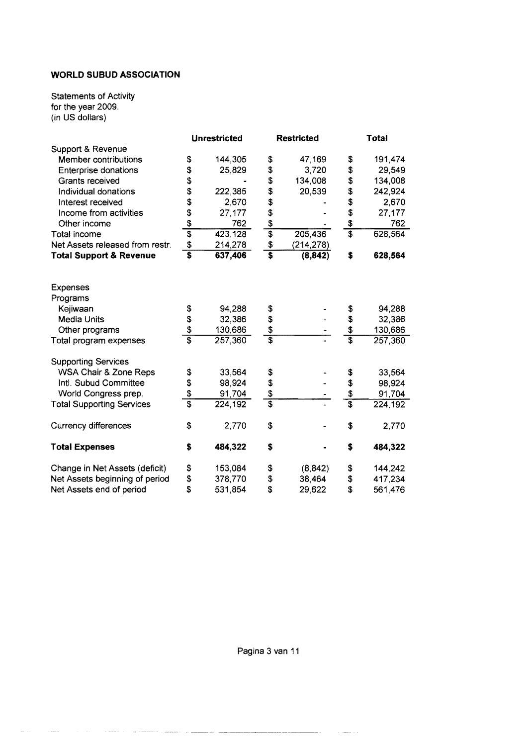Statements of Activity for the year 2009. (in US dollars)

.<br>.......

 $\mathbb{Z}^2$  and  $\mathbb{Z}^2$ 

 $\bar{\omega}$ 

|                                    |               | <b>Unrestricted</b> |                             | <b>Restricted</b> |                             | Total   |
|------------------------------------|---------------|---------------------|-----------------------------|-------------------|-----------------------------|---------|
| Support & Revenue                  |               |                     |                             |                   |                             |         |
| Member contributions               | \$            | 144,305             | \$                          | 47,169            | \$                          | 191,474 |
| Enterprise donations               | \$            | 25,829              | \$                          | 3,720             | \$                          | 29,549  |
| Grants received                    | \$            |                     | \$                          | 134,008           | \$                          | 134,008 |
| Individual donations               | \$            | 222,385             | \$                          | 20,539            |                             | 242,924 |
| Interest received                  | \$            | 2,670               | \$                          |                   |                             | 2,670   |
| Income from activities             |               | 27,177              |                             |                   | \$\$\$\$                    | 27,177  |
| Other income                       | \$<br>\$      | 762                 | \$                          |                   |                             | 762     |
| <b>Total income</b>                | \$            | 423,128             |                             | 205,436           | $\overline{\boldsymbol{s}}$ | 628,564 |
| Net Assets released from restr.    | $\frac{3}{5}$ | 214,278             | \$                          | (214,278)         |                             |         |
| <b>Total Support &amp; Revenue</b> |               | 637,406             | $\overline{\boldsymbol{s}}$ | (8, 842)          | \$                          | 628,564 |
| <b>Expenses</b>                    |               |                     |                             |                   |                             |         |
| Programs                           |               |                     |                             |                   |                             |         |
| Kejiwaan                           |               | 94,288              | \$                          |                   | \$                          | 94,288  |
| <b>Media Units</b>                 | \$<br>\$      | 32,386              | \$<br>\$                    |                   | \$<br>\$                    | 32,386  |
| Other programs                     |               | 130,686             |                             |                   |                             | 130,686 |
| Total program expenses             |               | 257,360             | s                           |                   | $\overline{\$}$             | 257,360 |
| <b>Supporting Services</b>         |               |                     |                             |                   |                             |         |
| WSA Chair & Zone Reps              | \$            | 33,564              | \$                          |                   | \$                          | 33,564  |
| Intl. Subud Committee              | \$            | 98,924              |                             |                   | \$                          | 98,924  |
| World Congress prep.               | $\frac{3}{3}$ | 91,704              | $\frac{6}{3}$               |                   | \$                          | 91,704  |
| <b>Total Supporting Services</b>   |               | 224,192             |                             |                   | $\overline{s}$              | 224,192 |
| <b>Currency differences</b>        | \$            | 2,770               | \$                          |                   | \$                          | 2,770   |
| <b>Total Expenses</b>              | \$            | 484,322             | \$                          |                   | \$                          | 484,322 |
| Change in Net Assets (deficit)     | \$            | 153,084             | \$                          | (8,842)           | \$                          | 144,242 |
| Net Assets beginning of period     | \$            | 378,770             | \$                          | 38,464            | \$                          | 417,234 |
| Net Assets end of period           | \$            | 531,854             | \$                          | 29,622            | \$                          | 561,476 |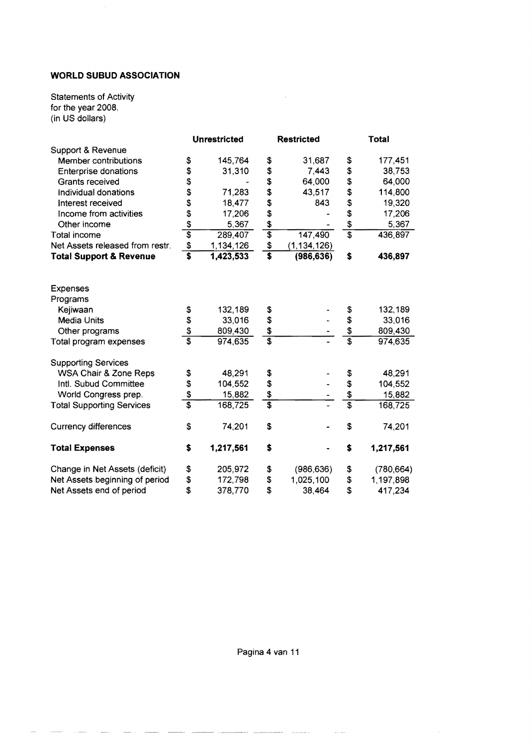Statements of Activity for the year 2008. (in US dollars)

|                                    |               | <b>Unrestricted</b> |                                        | <b>Restricted</b> | <b>Total</b>     |
|------------------------------------|---------------|---------------------|----------------------------------------|-------------------|------------------|
| Support & Revenue                  |               |                     |                                        |                   |                  |
| Member contributions               | \$            | 145,764             | \$                                     | 31,687            | \$<br>177,451    |
| <b>Enterprise donations</b>        | \$            | 31,310              | \$<br>\$                               | 7,443             | \$<br>38,753     |
| Grants received                    | \$            |                     |                                        | 64,000            | \$<br>64,000     |
| Individual donations               |               | 71,283              | \$                                     | 43,517            | \$<br>114,800    |
| Interest received                  | \$            | 18,477              | \$                                     | 843               | \$<br>19,320     |
| Income from activities             |               | 17,206              | \$                                     |                   | \$<br>17,206     |
| Other income                       | $\frac{6}{3}$ | 5,367               | \$                                     |                   | \$<br>5,367      |
| Total income                       |               | 289,407             | $\overline{\boldsymbol{\mathfrak{s}}}$ | 147,490           | 436,897          |
| Net Assets released from restr.    | \$            | 1,134,126           | \$                                     | (1, 134, 126)     |                  |
| <b>Total Support &amp; Revenue</b> | 3             | 1,423,533           | 3                                      | (986, 636)        | \$<br>436,897    |
| <b>Expenses</b>                    |               |                     |                                        |                   |                  |
| Programs                           |               |                     |                                        |                   |                  |
| Kejiwaan                           |               | 132,189             | \$<br>\$                               |                   | \$<br>132,189    |
| <b>Media Units</b>                 |               | 33,016              |                                        |                   | \$<br>33,016     |
| Other programs                     | မှ မှ မှ မှ   | 809,430             | \$                                     |                   | \$<br>809,430    |
| Total program expenses             |               | 974,635             |                                        |                   | 974,635          |
| <b>Supporting Services</b>         |               |                     |                                        |                   |                  |
| WSA Chair & Zone Reps              | \$<br>\$      | 48,291              | \$                                     |                   | \$<br>48,291     |
| Intl. Subud Committee              |               | 104,552             | \$                                     |                   | \$<br>104,552    |
| World Congress prep.               | $rac{3}{3}$   | 15,882              | \$                                     |                   | \$<br>15,882     |
| <b>Total Supporting Services</b>   |               | 168,725             |                                        |                   | 168,725          |
| <b>Currency differences</b>        | \$            | 74,201              | \$                                     |                   | \$<br>74,201     |
| <b>Total Expenses</b>              | \$            | 1,217,561           | \$                                     |                   | \$<br>1,217,561  |
| Change in Net Assets (deficit)     | \$            | 205,972             | \$                                     | (986, 636)        | \$<br>(780, 664) |
| Net Assets beginning of period     | \$            | 172,798             | \$                                     | 1,025,100         | \$<br>1,197,898  |
| Net Assets end of period           | \$            | 378,770             | \$                                     | 38,464            | \$<br>417,234    |

Pagina 4 van 11

 $\label{eq:1} \frac{1}{\sqrt{2\pi}\sqrt{2\pi}\sqrt{2\pi}}\int_{0}^{\frac{\pi}{2}}\frac{1}{\sqrt{2\pi}\sqrt{2\pi}}\int_{0}^{\frac{\pi}{2}}\frac{1}{\sqrt{2\pi}}\int_{0}^{\frac{\pi}{2}}\frac{1}{\sqrt{2\pi}}\int_{0}^{\frac{\pi}{2}}\frac{1}{\sqrt{2\pi}}\int_{0}^{\frac{\pi}{2}}\frac{1}{\sqrt{2\pi}}\int_{0}^{\frac{\pi}{2}}\frac{1}{\sqrt{2\pi}}\int_{0}^{\frac{\pi}{2}}\frac{1}{\sqrt{2\pi}}\int_{0}^{\frac$ 

a<br>Alban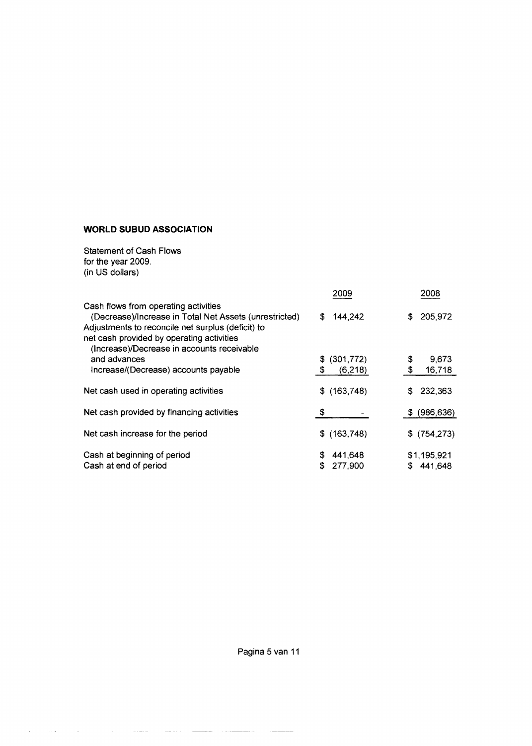Statement ot Cash Flows tor the year 2009. (in US dollars)

 $\label{eq:1} \mathcal{L}_{\text{max}} = \mathcal{L}_{\text{max}} + \mathcal{L}_{\text{max}}$ 

 $\bar{\lambda}$ 

 $\label{eq:1} \frac{1}{2} \left( \frac{1}{2} \sum_{i=1}^{n} \frac{1}{2} \sum_{j=1}^{n} \frac{1}{2} \sum_{j=1}^{n} \frac{1}{2} \sum_{j=1}^{n} \frac{1}{2} \sum_{j=1}^{n} \frac{1}{2} \sum_{j=1}^{n} \frac{1}{2} \sum_{j=1}^{n} \frac{1}{2} \sum_{j=1}^{n} \frac{1}{2} \sum_{j=1}^{n} \frac{1}{2} \sum_{j=1}^{n} \frac{1}{2} \sum_{j=1}^{n} \frac{1}{2} \sum_{j=1}^{n$ 

 $\sim$   $\sim$   $\sim$ 

|                                                                                                                                                                                                                                                | 2009                               | 2008                         |
|------------------------------------------------------------------------------------------------------------------------------------------------------------------------------------------------------------------------------------------------|------------------------------------|------------------------------|
| Cash flows from operating activities<br>(Decrease)/Increase in Total Net Assets (unrestricted)<br>Adjustments to reconcile net surplus (deficit) to<br>net cash provided by operating activities<br>(Increase)/Decrease in accounts receivable | 144,242<br>S.                      | 205,972<br>S.                |
| and advances<br>Increase/(Decrease) accounts payable                                                                                                                                                                                           | (301, 772)<br>S.<br>\$<br>(6, 218) | \$<br>9,673<br>16,718<br>\$  |
| Net cash used in operating activities                                                                                                                                                                                                          | \$(163,748)                        | 232,363<br>S.                |
| Net cash provided by financing activities                                                                                                                                                                                                      | \$                                 | (986, 636)<br>S.             |
| Net cash increase for the period                                                                                                                                                                                                               | \$(163,748)                        | \$ (754, 273)                |
| Cash at beginning of period<br>Cash at end of period                                                                                                                                                                                           | \$<br>441,648<br>S.<br>277,900     | \$1,195,921<br>441,648<br>\$ |

 $\sim$ 

Pagina 5 van 11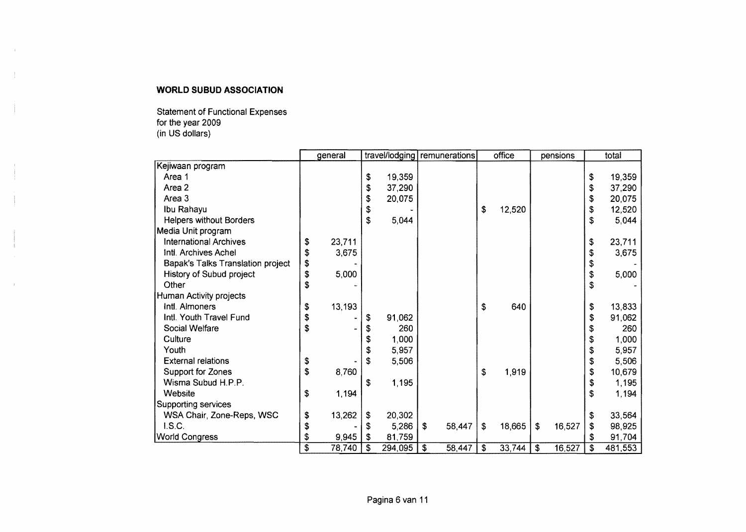$\sim 1$ 

 $\frac{3}{4}$ 

 $\sim$   $\pm$ 

Statement of Functional Expenses for the year 2009 US dollars)

|                                   | general      |    |         | travel/lodging remunerations |            | office | pensions     |    | total   |
|-----------------------------------|--------------|----|---------|------------------------------|------------|--------|--------------|----|---------|
| Kejiwaan program                  |              |    |         |                              |            |        |              |    |         |
| Area 1                            |              | \$ | 19,359  |                              |            |        |              | \$ | 19,359  |
| Area 2                            |              | \$ | 37,290  |                              |            |        |              | \$ | 37,290  |
| Area 3                            |              | \$ | 20,075  |                              |            |        |              | \$ | 20,075  |
| Ibu Rahayu                        |              | \$ |         |                              | \$         | 12,520 |              | \$ | 12,520  |
| <b>Helpers without Borders</b>    |              | \$ | 5,044   |                              |            |        |              | \$ | 5,044   |
| Media Unit program                |              |    |         |                              |            |        |              |    |         |
| <b>International Archives</b>     | \$<br>23,711 |    |         |                              |            |        |              | \$ | 23,711  |
| Intl. Archives Achel              | \$<br>3,675  |    |         |                              |            |        |              | \$ | 3,675   |
| Bapak's Talks Translation project | \$           |    |         |                              |            |        |              | \$ |         |
| <b>History of Subud project</b>   | \$<br>5,000  |    |         |                              |            |        |              | s  | 5,000   |
| Other                             | \$           |    |         |                              |            |        |              | S  |         |
| Human Activity projects           |              |    |         |                              |            |        |              |    |         |
| Intl. Almoners                    | \$<br>13,193 |    |         |                              | \$         | 640    |              | \$ | 13,833  |
| Intl. Youth Travel Fund           | \$           |    | 91,062  |                              |            |        |              | \$ | 91,062  |
| Social Welfare                    | \$           |    | 260     |                              |            |        |              | S  | 260     |
| Culture                           |              |    | 1,000   |                              |            |        |              |    | 1,000   |
| Youth                             |              |    | 5,957   |                              |            |        |              |    | 5,957   |
| <b>External relations</b>         | \$           | \$ | 5,506   |                              |            |        |              |    | 5,506   |
| Support for Zones                 | \$<br>8,760  |    |         |                              | \$         | 1,919  |              | \$ | 10,679  |
| Wisma Subud H.P.P.                |              | \$ | 1,195   |                              |            |        |              | \$ | 1,195   |
| Website                           | \$<br>1,194  |    |         |                              |            |        |              | Ŝ  | 1,194   |
| Supporting services               |              |    |         |                              |            |        |              |    |         |
| WSA Chair, Zone-Reps, WSC         | \$<br>13,262 |    | 20,302  |                              |            |        |              |    | 33,564  |
| LS.C.                             | \$           |    | 5,286   | \$<br>58,447                 | \$         | 18,665 | \$<br>16,527 | \$ | 98,925  |
| <b>World Congress</b>             | 9,945        | S  | 81,759  |                              |            |        |              |    | 91,704  |
|                                   | \$<br>78,740 | \$ | 294,095 | \$<br>58,447                 | $\sqrt{3}$ | 33,744 | \$<br>16,527 | \$ | 481,553 |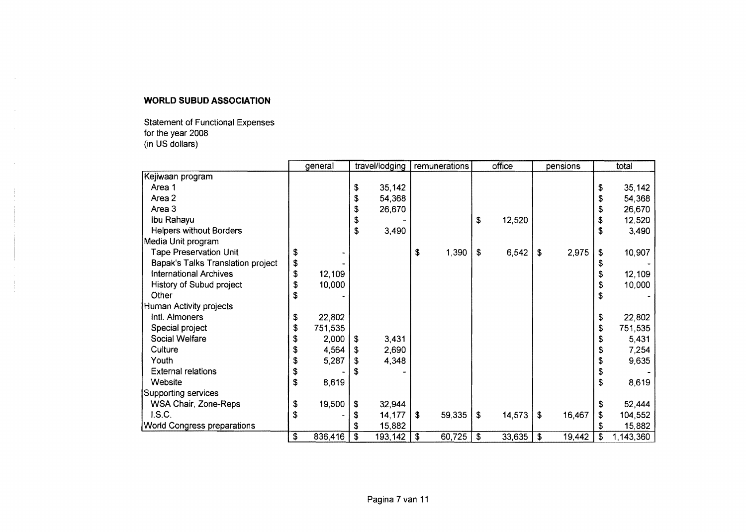$\sim$   $\sim$ 

 $\sim$   $\mu$ 

 $\sim 10^{-7}$ 

Statement of Functional Expenses for the year 2008 (in US dollars)

|                                    | general       |    | travel/lodging | remunerations | office       |                 | pensions |                           | total     |
|------------------------------------|---------------|----|----------------|---------------|--------------|-----------------|----------|---------------------------|-----------|
| Kejiwaan program                   |               |    |                |               |              |                 |          |                           |           |
| Area 1                             |               | \$ | 35,142         |               |              |                 |          | \$                        | 35,142    |
| Area 2                             |               | S  | 54,368         |               |              |                 |          | S                         | 54,368    |
| Area 3                             |               |    | 26,670         |               |              |                 |          |                           | 26,670    |
| Ibu Rahayu                         |               | \$ |                |               | \$<br>12,520 |                 |          | \$                        | 12,520    |
| <b>Helpers without Borders</b>     |               | \$ | 3,490          |               |              |                 |          | \$                        | 3,490     |
| Media Unit program                 |               |    |                |               |              |                 |          |                           |           |
| <b>Tape Preservation Unit</b>      | \$            |    |                | \$<br>1,390   | \$<br>6,542  | \$              | 2,975    |                           | 10,907    |
| Bapak's Talks Translation project  | \$            |    |                |               |              |                 |          |                           |           |
| <b>International Archives</b>      | \$<br>12,109  |    |                |               |              |                 |          |                           | 12,109    |
| History of Subud project           | \$<br>10,000  |    |                |               |              |                 |          | S                         | 10,000    |
| Other                              | \$            |    |                |               |              |                 |          |                           |           |
| Human Activity projects            |               |    |                |               |              |                 |          |                           |           |
| Intl. Almoners                     | \$<br>22,802  |    |                |               |              |                 |          | \$                        | 22,802    |
| Special project                    | 751,535       |    |                |               |              |                 |          | \$                        | 751,535   |
| Social Welfare                     | 2,000         | S  | 3,431          |               |              |                 |          |                           | 5,431     |
| Culture                            | 4,564         | \$ | 2,690          |               |              |                 |          |                           | 7,254     |
| Youth                              | 5,287         | S  | 4,348          |               |              |                 |          |                           | 9,635     |
| <b>External relations</b>          | \$            |    |                |               |              |                 |          |                           |           |
| Website                            | \$<br>8,619   |    |                |               |              |                 |          | \$                        | 8,619     |
| Supporting services                |               |    |                |               |              |                 |          |                           |           |
| WSA Chair, Zone-Reps               | \$<br>19,500  | \$ | 32,944         |               |              |                 |          |                           | 52,444    |
| LS.C.                              | \$            |    | 14,177         | \$<br>59,335  | \$<br>14,573 | \$              | 16,467   |                           | 104,552   |
| <b>World Congress preparations</b> |               |    | 15,882         |               |              |                 |          |                           | 15,882    |
|                                    | \$<br>836,416 | \$ | 193,142        | \$<br>60,725  | \$<br>33,635 | $\overline{\$}$ | 19,442   | $\boldsymbol{\mathsf{s}}$ | 1,143,360 |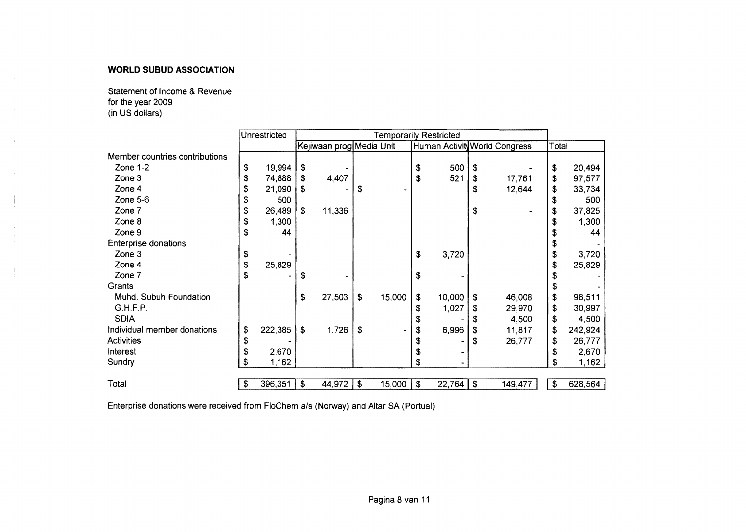Statement of Income & Revenue for the year 2009 (in US dollars)

 $\sim$ 

 $\sim 3\%$ 

 $\frac{1}{2}$ 

|                                | Unrestricted  |               |                          |    | <b>Temporarily Restricted</b> |              |    |                               |       |         |
|--------------------------------|---------------|---------------|--------------------------|----|-------------------------------|--------------|----|-------------------------------|-------|---------|
|                                |               |               | Kejiwaan prog Media Unit |    |                               |              |    | Human Activity World Congress | Total |         |
| Member countries contributions |               |               |                          |    |                               |              |    |                               |       |         |
| Zone 1-2                       | \$<br>19,994  | \$            |                          |    |                               | \$<br>500    | \$ |                               | \$    | 20,494  |
| Zone 3                         | \$<br>74,888  | S             | 4,407                    |    |                               | \$<br>521    | \$ | 17,761                        | \$    | 97,577  |
| Zone 4                         | \$<br>21,090  | S             |                          | S  |                               |              | S  | 12,644                        |       | 33,734  |
| Zone $5-6$                     | \$<br>500     |               |                          |    |                               |              |    |                               |       | 500     |
| Zone 7                         | \$<br>26,489  | $\mathbf{\$}$ | 11,336                   |    |                               |              | \$ |                               | \$    | 37,825  |
| Zone 8                         | \$<br>1,300   |               |                          |    |                               |              |    |                               |       | 1,300   |
| Zone 9                         | \$<br>44      |               |                          |    |                               |              |    |                               |       | 44      |
| Enterprise donations           |               |               |                          |    |                               |              |    |                               |       |         |
| Zone 3                         | \$            |               |                          |    |                               | \$<br>3,720  |    |                               |       | 3,720   |
| Zone 4                         | \$<br>25,829  |               |                          |    |                               |              |    |                               |       | 25,829  |
| Zone 7                         | \$            | S             |                          |    |                               | \$           |    |                               |       |         |
| Grants                         |               |               |                          |    |                               |              |    |                               | s     |         |
| Muhd. Subuh Foundation         |               | \$            | 27,503                   | \$ | 15,000                        | \$<br>10,000 | \$ | 46,008                        | \$    | 98,511  |
| G.H.F.P.                       |               |               |                          |    |                               | 1,027        |    | 29,970                        | \$    | 30,997  |
| <b>SDIA</b>                    |               |               |                          |    |                               |              |    | 4,500                         | \$    | 4,500   |
| Individual member donations    | \$<br>222,385 | \$            | 1,726                    | \$ |                               | 6,996        | \$ | 11,817                        | \$    | 242,924 |
| <b>Activities</b>              | \$            |               |                          |    |                               |              |    | 26,777                        | s     | 26,777  |
| Interest                       | 2,670         |               |                          |    |                               |              |    |                               | S     | 2,670   |
| Sundry                         | 1,162         |               |                          |    |                               |              |    |                               | S     | 1,162   |
|                                |               |               |                          |    |                               |              |    |                               |       |         |
| Total                          | \$<br>396,351 | \$            | 44,972                   | \$ | 15,000                        | \$<br>22,764 | \$ | 149,477                       | \$    | 628,564 |

Enterprise donations were received from FloChem als (Norway) and Altar SA (Portual)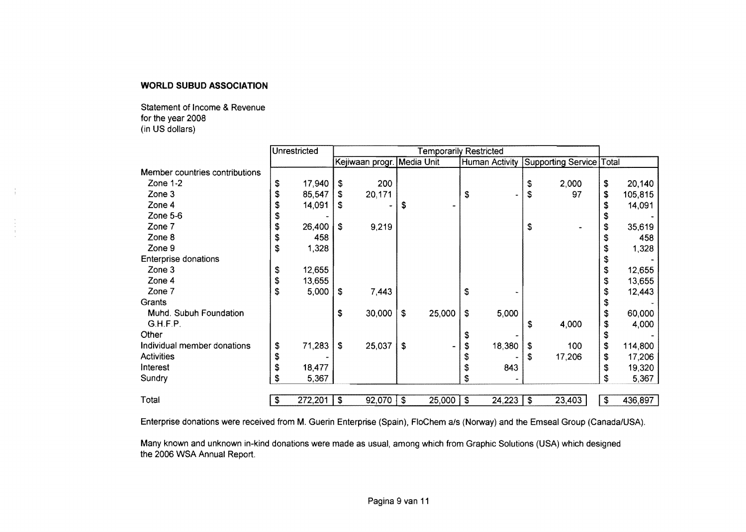Statement ot Income & Revenue tor the year 2008 (in US dollars)

 $\frac{1}{4}$ 

÷

|                                | Unrestricted  |    |                            | <b>Temporarily Restricted</b> |               |                       |                |                          |    |         |
|--------------------------------|---------------|----|----------------------------|-------------------------------|---------------|-----------------------|----------------|--------------------------|----|---------|
|                                |               |    | Kejiwaan progr. Media Unit |                               |               | <b>Human Activity</b> |                | Supporting Service Total |    |         |
| Member countries contributions |               |    |                            |                               |               |                       |                |                          |    |         |
| Zone $1-2$                     | \$<br>17,940  | \$ | 200                        |                               |               |                       | \$             | 2,000                    | \$ | 20,140  |
| Zone 3                         | \$<br>85,547  | \$ | 20,171                     |                               | \$            |                       | \$             | 97                       | \$ | 105,815 |
| Zone 4                         | \$<br>14,091  | S  |                            | \$                            |               |                       |                |                          |    | 14,091  |
| Zone 5-6                       | \$            |    |                            |                               |               |                       |                |                          |    |         |
| Zone 7                         | \$<br>26,400  | \$ | 9,219                      |                               |               |                       | \$             |                          |    | 35,619  |
| Zone 8                         | \$<br>458     |    |                            |                               |               |                       |                |                          |    | 458     |
| Zone 9                         | \$<br>1,328   |    |                            |                               |               |                       |                |                          |    | 1,328   |
| Enterprise donations           |               |    |                            |                               |               |                       |                |                          |    |         |
| Zone 3                         | \$<br>12,655  |    |                            |                               |               |                       |                |                          |    | 12,655  |
| Zone 4                         | \$<br>13,655  |    |                            |                               |               |                       |                |                          |    | 13,655  |
| Zone 7                         | \$<br>5,000   | \$ | 7,443                      |                               | <sup>\$</sup> |                       |                |                          |    | 12,443  |
| Grants                         |               |    |                            |                               |               |                       |                |                          |    |         |
| Muhd. Subuh Foundation         |               | \$ | 30,000                     | \$<br>25,000                  | \$            | 5,000                 |                |                          | S  | 60,000  |
| G.H.F.P.                       |               |    |                            |                               |               |                       | S              | 4,000                    | S  | 4,000   |
| Other                          |               |    |                            |                               |               |                       |                |                          | \$ |         |
| Individual member donations    | \$<br>71,283  | \$ | 25,037                     | \$                            | \$            | 18,380                | \$             | 100                      | \$ | 114,800 |
| <b>Activities</b>              | \$            |    |                            |                               |               |                       | S              | 17,206                   | \$ | 17,206  |
| Interest                       | \$<br>18,477  |    |                            |                               | \$            | 843                   |                |                          | \$ | 19,320  |
| Sundry                         | \$<br>5,367   |    |                            |                               | \$            |                       |                |                          | S  | 5,367   |
|                                |               |    |                            |                               |               |                       |                |                          |    |         |
| Total                          | \$<br>272,201 | \$ | 92,070                     | \$<br>$25,000$   \$           |               | 24,223                | $\mathfrak{s}$ | 23,403                   | \$ | 436,897 |

Enterprise donations were received trom M. Guerin Enterprise (Spain), FloChem als (Norway) and the Emseal Group (Canada/USA).

Many known and unknown in~kind donations were made as usual, among which trom Graphic Solutions (USA) which designed the 2006 WSA Annual Report.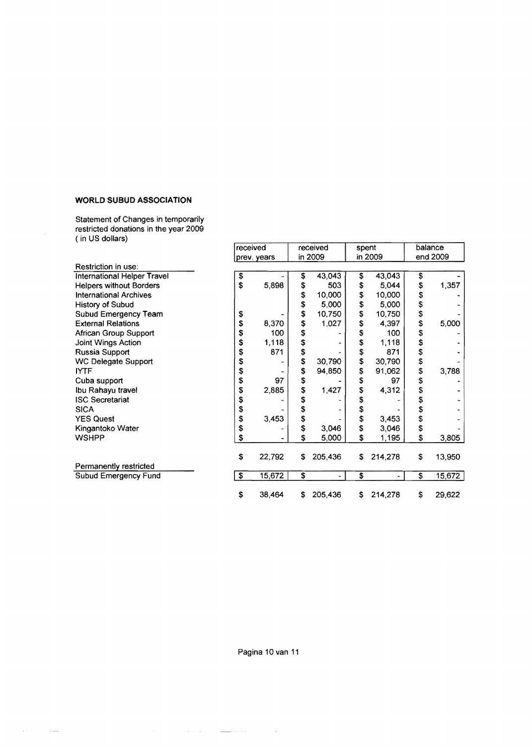الشكار المتحدث

Statement of Changes in temporarily restricted donations in the year 2009 ( in US dollars)

|                                    |                                  | received    |          | received | spent         | balance |          |  |
|------------------------------------|----------------------------------|-------------|----------|----------|---------------|---------|----------|--|
|                                    |                                  | prev. years |          | in 2009  | in 2009       |         | end 2009 |  |
| Restriction in use:                |                                  |             |          |          |               |         |          |  |
| <b>International Helper Travel</b> | \$                               |             | \$       | 43,043   | \$<br>43,043  | \$      |          |  |
| <b>Helpers without Borders</b>     | \$                               | 5,898       | \$       | 503      | \$<br>5,044   | \$      | 1,357    |  |
| <b>International Archives</b>      |                                  |             | \$       | 10,000   | \$<br>10,000  | \$      |          |  |
| History of Subud                   |                                  |             | \$       | 5,000    | \$<br>5,000   |         |          |  |
| Subud Emergency Team               | \$                               |             | \$       | 10,750   | \$<br>10,750  | \$      |          |  |
| <b>External Relations</b>          | \$                               | 8,370       | \$       | 1,027    | \$<br>4,397   | \$      | 5,000    |  |
| African Group Support              | \$                               | 100         | \$       |          | \$<br>100     | \$      |          |  |
| Joint Wings Action                 | \$                               | 1,118       |          |          | \$<br>1,118   | \$      |          |  |
| Russia Support                     | \$                               | 871         | \$<br>\$ |          | \$<br>871     | \$      |          |  |
| <b>WC Delegate Support</b>         | \$                               |             | \$       | 30,790   | \$<br>30,790  | \$      |          |  |
| <b>IYTF</b>                        | \$                               |             | \$       | 94,850   | \$<br>91,062  | \$      | 3,788    |  |
| Cuba support                       | \$                               | 97          | \$       |          | \$<br>97      | \$      |          |  |
| Ibu Rahayu travel                  | \$                               | 2,885       | \$       | 1,427    | \$<br>4,312   | \$      |          |  |
| <b>ISC Secretariat</b>             | \$                               |             |          |          | \$            | \$      |          |  |
| <b>SICA</b>                        | \$                               |             | \$<br>\$ |          | \$            | \$      |          |  |
| <b>YES Quest</b>                   | \$                               | 3,453       | \$       |          | \$<br>3,453   | \$      |          |  |
| Kingantoko Water                   | \$                               |             | \$       | 3,046    | \$<br>3,046   | \$      |          |  |
| <b>WSHPP</b>                       | \$                               |             | \$       | 5,000    | \$<br>1,195   | \$      | 3,805    |  |
|                                    | \$                               | 22,792      | \$       | 205,436  | \$<br>214,278 | \$      | 13,950   |  |
| Permanently restricted             |                                  |             |          |          |               |         |          |  |
| <b>Subud Emergency Fund</b>        | $\overline{\boldsymbol{\theta}}$ | 15,672      | \$       |          | \$            | \$      | 15,672   |  |
|                                    | \$                               | 38,464      | \$       | 205,436  | \$<br>214,278 | \$      | 29,622   |  |

 $\hat{f}$  , and the set of the set of the set of the set of the set of the set of the set of the set of the set of the set of the set of the set of the set of the set of the set of the set of the set of the set of the set o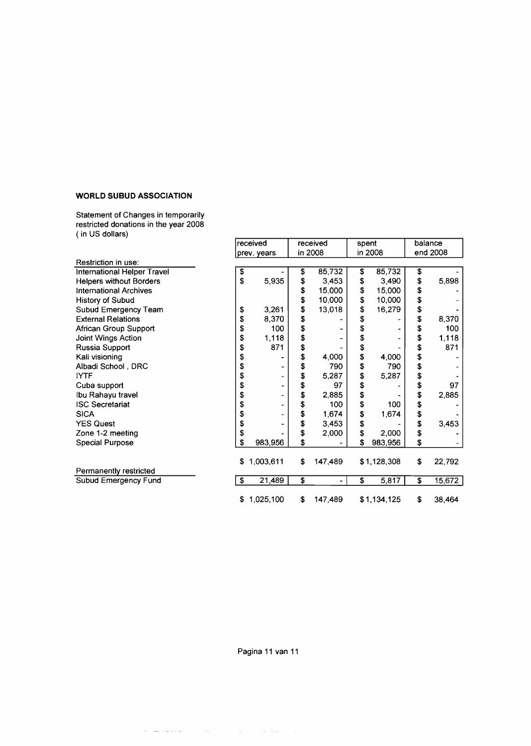Statement of Changes in temporarily<br>restricted donations in the year 2008<br>(in US dollars)

|                                    | received        |                 | received |    | spent       | balance |          |
|------------------------------------|-----------------|-----------------|----------|----|-------------|---------|----------|
|                                    | prev. years     |                 | in 2008  |    | in 2008     |         | end 2008 |
| Restriction in use:                |                 |                 |          |    |             |         |          |
| <b>International Helper Travel</b> | \$              | \$              | 85,732   | \$ | 85,732      | \$      |          |
| <b>Helpers without Borders</b>     | \$<br>5,935     | \$              | 3.453    | \$ | 3,490       | \$      | 5,898    |
| <b>International Archives</b>      |                 | \$              | 15,000   | \$ | 15,000      | \$      |          |
| History of Subud                   |                 | \$              | 10,000   | \$ | 10,000      | \$      |          |
| Subud Emergency Team               | \$<br>3,261     | \$              | 13,018   | \$ | 16,279      | \$      |          |
| <b>External Relations</b>          | \$<br>8,370     | \$              |          | \$ |             | \$      | 8,370    |
| African Group Support              | \$<br>100       | \$              |          |    |             | \$      | 100      |
| Joint Wings Action                 | \$<br>1,118     | \$              |          | \$ |             | \$      | 1,118    |
| Russia Support                     | \$<br>871       | \$              |          | \$ |             | \$      | 871      |
| Kali visioning                     | \$              | \$              | 4,000    | \$ | 4,000       | \$      |          |
| Albadi School, DRC                 | \$              | \$              | 790      | \$ | 790         | \$      |          |
| <b>IYTF</b>                        | \$              | \$              | 5,287    | \$ | 5,287       | \$      |          |
| Cuba support                       | \$              | \$              | 97       | \$ |             | \$      | 97       |
| Ibu Rahayu travel                  | \$              | \$              | 2,885    | \$ |             | \$      | 2,885    |
| <b>ISC Secretariat</b>             | \$              | \$              | 100      | \$ | 100         | \$      |          |
| <b>SICA</b>                        | \$              | \$              | 1,674    | \$ | 1,674       | \$      |          |
| <b>YES Quest</b>                   | \$              | \$              | 3,453    | \$ |             | \$      | 3,453    |
| Zone 1-2 meeting                   | \$              | \$              | 2,000    | \$ | 2,000       | \$      |          |
| <b>Special Purpose</b>             | \$<br>983,956   | \$              |          | S  | 983,956     | \$      |          |
|                                    | \$<br>1,003,611 | S               | 147,489  |    | \$1,128,308 | \$      | 22,792   |
| Permanently restricted             |                 |                 |          |    |             |         |          |
| Subud Emergency Fund               | \$<br>21,489    | $\overline{\$}$ | -        | S  | 5,817       | \$      | 15,672   |
|                                    | \$<br>1,025,100 | \$              | 147,489  |    | \$1,134,125 | \$      | 38,464   |

 $\mu$  , and an expected by the contract of the contract of the contract of  $\mu$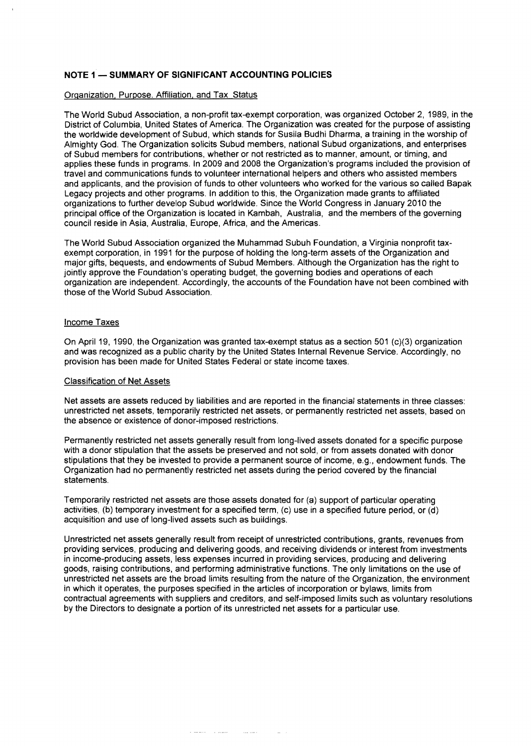#### **NOTE 1 - SUMMARY OF SIGNIFICANT ACCOUNTING POLICIES**

#### Organization, Purpose. Affiliation, and Tax Status

The World Subud Association, a non-profit tax-exempt corporation, was organized October 2, 1989, in the District ot Columbia, United States of America. The Organization was created for the purpose of assisting the worldwide development of Subud, which stands for Susila Budhi Dharma, a training in the worship of Almighty God. The Organization solicits Subud members, national Subud organizations, and enterprises of Subud members for contributions, whether or not restricted as to manner, amount, or timing, and applies these funds in programs. In 2009 and 2008 the Organization's programs included the provision of travel and communications funds to volunteer international helpers and others who assisted members and applicants, and the provision of funds to other volunteers who worked tor the various so calied Bapak Legacy projects and other programs. In addition to this, the Organization made grants to affiliated organizations to further develop Subud worldwide. Since the World Congress in January 2010 the principal office of the Organization is located in Kambah, Australia, and the members of the governing council reside in Asia, Australia, Europe, Africa, and the Americas.

The World Subud Association organized the Muhammad Subuh Foundation, a Virginia nonprofit taxexempt corporation, in 1991 for the purpose of holding the long-term assets of the Organization and major gifts, bequests, and endowments of Subud Members. Although the Organization has the right to jointly approve the Foundation's operating budget, the governing bodies and operations of each organization are independent. Accordingly, the accounts of the Foundation have not been combined with those of the World Subud Association.

#### Income Taxes

On April 19, 1990, the Organization was granted tax-exempt status as a section 501 (c)(3) organization and was recognized as a public charity by the United States Internal Revenue Service. Accordingly, no provision has been made for United States Federal or state income taxes.

#### Classification of Net Assets

Net assets are assets reduced by liabilities and are reported in the financial statements in three classes: unrestricted net assets, temporarily restricted net assets, or permanently restricted net assets, based on the absence or existence of donor-imposed restrictions.

Permanently restricted net assets generally result from long-lived assets donated for a specific purpose with a donor stipulation that the assets be preserved and not sold, or from assets donated with donor stipulations that they be invested to provide a permanent souree of income, e.g., endowment funds. The Organization had no permanently restricted net assets during the period covered by the financial statements.

Temporarily restricted net assets are those assets donated for (a) support of particular operating activities, (b) temporary investment for a specified term, (c) use in a specified future period, or (d) acquisition and use of long-lived assets such as buildings.

Unrestricted net assets generally result from receipt of unrestricted contributions, grants, revenues from providing services, producing and delivering goods, and receiving dividends or interest from investments in income-producing assets, less expenses incurred in providing services, producing and delivering goods, raising contributions, and performing administrative functions. The only limitations on the use of unrestricted net assets are the broad limits resulting from the nature of the Organization, the environment in which it operates, the purposes specified in the artieles of incorporation or bylaws, limits from contractual agreements with suppliers and creditors, and self-imposed limits such as voluntary resolutions by the Directors to designate a portion of its unrestricted net assets for a particular use.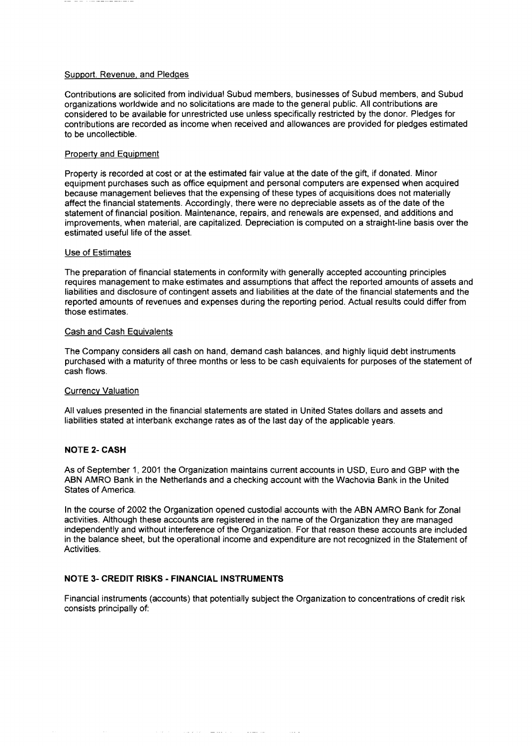#### Support. Revenue, and Pledges

Contributions are solicited from individual Subud members, businesses of Subud members, and Subud organizations worldwide and no solicitations are made to the general public, All contributions are considered to be available for unrestricted use unless specifically restricted by the donor. Pledges for contributions are recorded as income when received and allowances are provided for pledges estimated to be uncollectible.

#### Property and Eguipment

Property is recorded at cost or at the estimated fair value at the date of the gift, if donated. Minor equipment purchases such as office equipment and personal computers are expensed when acquired because management believes that the expensing of these types of acquisitions does not materially affect the financial statements. Accordingly, there were no depreciable assets as of the date of the statement of financial position. Maintenance, repairs, and renewals are expensed, and additions and improvements, when material, are capitalized, Depreciation is computed on a straight-line basis over the estimated useful life of the asset.

#### Use of Estimates

The preparation of financial statements in conformity with generally accepted accounting principles requires management to make estimates and assumptions that affect the reported amounts of assets and liabilities and disclosure of contingent assets and liabilities at the date of the financial statements and the reported amounts of revenues and expenses during the reporting period, Actual results could differ from those estimates,

#### Cash and Cash Eguivalents

The Company considers all cash on hand, demand cash balances, and highly liquid debt instruments purchased with a maturity of three months or less to be cash equivalents for purposes of the statement of cash flows.

#### Currency Valuation

All values presented in the financial statements are stated in United States dollars and assets and liabilities stated at interbank exchange rates as of the last day of the applicable years.

#### **NOTE2-CASH**

As of September 1, 2001 the Organization maintains current accounts in USD, Euro and GBP with the ABN AMRO Bank in the Netherlands and a checking account with the Wachovia Bank in the United States of America,

In the course of 2002 the Organization opened custodial accounts with the ABN AMRO Bank for Zonal activities, Although these accounts are registered in the name of the Organization they are managed independently and without interference of the Organization. For that reason these accounts are included in the balance sheet, but the operational income and expenditure are not recognized in the Statement of Activities.

#### **NOTE 3- CREDIT RISKS - FINANClAL INSTRUMENTS**

Financial instruments (accounts) that potentially subject the Organization to concentrations of credit risk consists principally of: